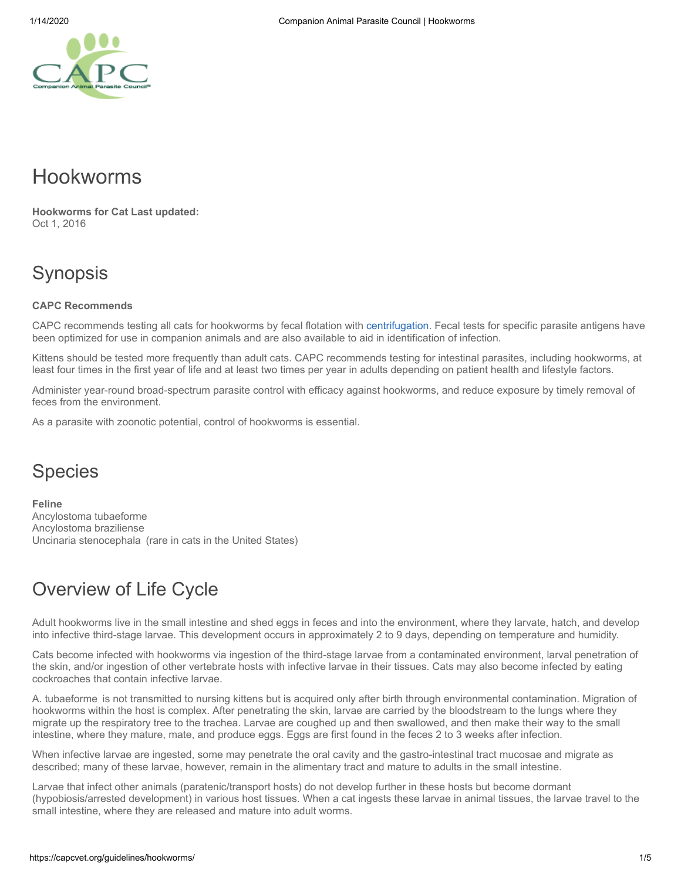# Hookworms

**Hookworms for Cat Last updated:** Oct 1, 2016

# Synopsis

### **CAPC Recommends**

CAPC recommends testing all cats for hookworms by fecal flotation with [centrifugation](https://capcvet.org/articles/why-fecal-centrifugation-is-better/). Fecal tests for specific parasite antigens have been optimized for use in companion animals and are also available to aid in identification of infection.

Kittens should be tested more frequently than adult cats. CAPC recommends testing for intestinal parasites, including hookworms, at least four times in the first year of life and at least two times per year in adults depending on patient health and lifestyle factors.

Administer year-round broad-spectrum parasite control with efficacy against hookworms, and reduce exposure by timely removal of feces from the environment.

As a parasite with zoonotic potential, control of hookworms is essential.

# **Species**

**Feline** Ancylostoma tubaeforme Ancylostoma braziliense Uncinaria stenocephala  (rare in cats in the United States)

# Overview of Life Cycle

Adult hookworms live in the small intestine and shed eggs in feces and into the environment, where they larvate, hatch, and develop into infective third-stage larvae. This development occurs in approximately 2 to 9 days, depending on temperature and humidity.

Cats become infected with hookworms via ingestion of the third-stage larvae from a contaminated environment, larval penetration of the skin, and/or ingestion of other vertebrate hosts with infective larvae in their tissues. Cats may also become infected by eating cockroaches that contain infective larvae.

A. tubaeforme  is not transmitted to nursing kittens but is acquired only after birth through environmental contamination. Migration of hookworms within the host is complex. After penetrating the skin, larvae are carried by the bloodstream to the lungs where they migrate up the respiratory tree to the trachea. Larvae are coughed up and then swallowed, and then make their way to the small intestine, where they mature, mate, and produce eggs. Eggs are first found in the feces 2 to 3 weeks after infection.

When infective larvae are ingested, some may penetrate the oral cavity and the gastro-intestinal tract mucosae and migrate as described; many of these larvae, however, remain in the alimentary tract and mature to adults in the small intestine.

Larvae that infect other animals (paratenic/transport hosts) do not develop further in these hosts but become dormant (hypobiosis/arrested development) in various host tissues. When a cat ingests these larvae in animal tissues, the larvae travel to the small intestine, where they are released and mature into adult worms.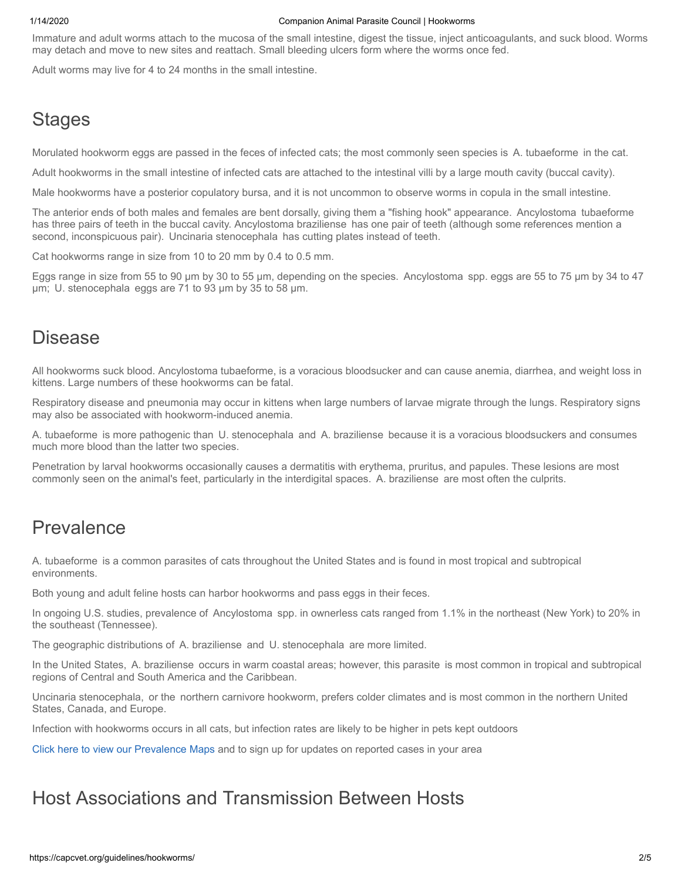#### 1/14/2020 Companion Animal Parasite Council | Hookworms

Immature and adult worms attach to the mucosa of the small intestine, digest the tissue, inject anticoagulants, and suck blood. Worms may detach and move to new sites and reattach. Small bleeding ulcers form where the worms once fed.

Adult worms may live for 4 to 24 months in the small intestine.

# **Stages**

Morulated hookworm eggs are passed in the feces of infected cats; the most commonly seen species is  A. tubaeforme  in the cat.

Adult hookworms in the small intestine of infected cats are attached to the intestinal villi by a large mouth cavity (buccal cavity).

Male hookworms have a posterior copulatory bursa, and it is not uncommon to observe worms in copula in the small intestine.

The anterior ends of both males and females are bent dorsally, giving them a "fishing hook" appearance.  Ancylostoma  tubaeforme has three pairs of teeth in the buccal cavity. Ancylostoma braziliense  has one pair of teeth (although some references mention a second, inconspicuous pair).  Uncinaria stenocephala  has cutting plates instead of teeth.

Cat hookworms range in size from 10 to 20 mm by 0.4 to 0.5 mm.

Eggs range in size from 55 to 90 μm by 30 to 55 μm, depending on the species.  Ancylostoma  spp. eggs are 55 to 75 μm by 34 to 47 μm;  U. stenocephala  eggs are 71 to 93 μm by 35 to 58 µm.

### Disease

All hookworms suck blood. Ancylostoma tubaeforme, is a voracious bloodsucker and can cause anemia, diarrhea, and weight loss in kittens. Large numbers of these hookworms can be fatal.

Respiratory disease and pneumonia may occur in kittens when large numbers of larvae migrate through the lungs. Respiratory signs may also be associated with hookworm-induced anemia.

A. tubaeforme  is more pathogenic than  U. stenocephala  and  A. braziliense  because it is a voracious bloodsuckers and consumes much more blood than the latter two species.

Penetration by larval hookworms occasionally causes a dermatitis with erythema, pruritus, and papules. These lesions are most commonly seen on the animal's feet, particularly in the interdigital spaces.  A. braziliense  are most often the culprits.

# Prevalence

A. tubaeforme  is a common parasites of cats throughout the United States and is found in most tropical and subtropical environments.

Both young and adult feline hosts can harbor hookworms and pass eggs in their feces.

In ongoing U.S. studies, prevalence of  Ancylostoma  spp. in ownerless cats ranged from 1.1% in the northeast (New York) to 20% in the southeast (Tennessee).

The geographic distributions of  A. braziliense  and  U. stenocephala  are more limited.

In the United States,  A. braziliense  occurs in warm coastal areas; however, this parasite  is most common in tropical and subtropical regions of Central and South America and the Caribbean.

Uncinaria stenocephala,  or the  northern carnivore hookworm, prefers colder climates and is most common in the northern United States, Canada, and Europe.

Infection with hookworms occurs in all cats, but infection rates are likely to be higher in pets kept outdoors

[Click here to view our Prevalence Maps](https://capcvet.org/maps/) and to sign up for updates on reported cases in your area

## Host Associations and Transmission Between Hosts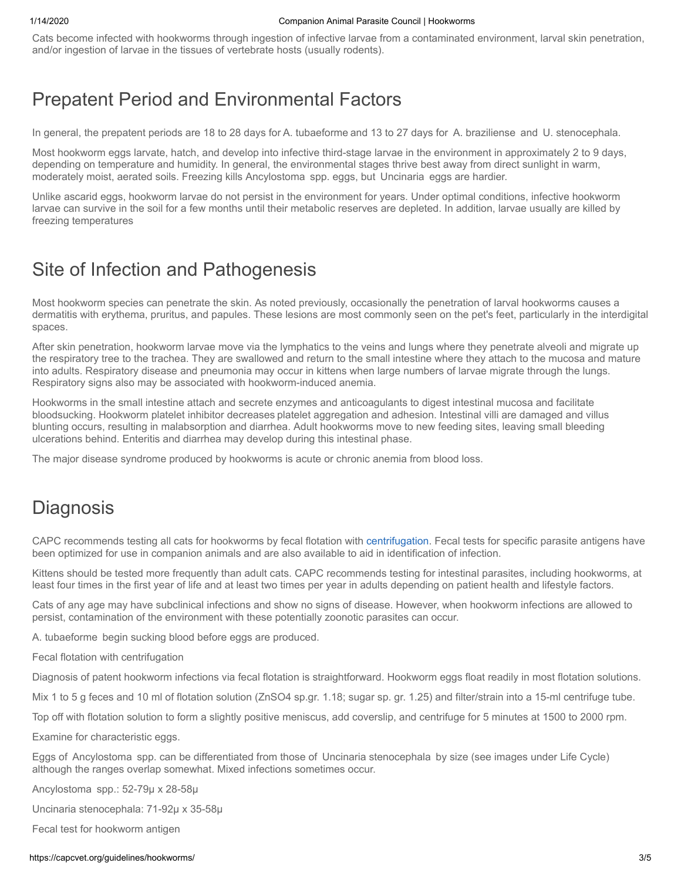Cats become infected with hookworms through ingestion of infective larvae from a contaminated environment, larval skin penetration, and/or ingestion of larvae in the tissues of vertebrate hosts (usually rodents).

### Prepatent Period and Environmental Factors

In general, the prepatent periods are 18 to 28 days for A. tubaeforme and 13 to 27 days for A. braziliense and U. stenocephala.

Most hookworm eggs larvate, hatch, and develop into infective third-stage larvae in the environment in approximately 2 to 9 days, depending on temperature and humidity. In general, the environmental stages thrive best away from direct sunlight in warm, moderately moist, aerated soils. Freezing kills Ancylostoma  spp. eggs, but  Uncinaria  eggs are hardier.

Unlike ascarid eggs, hookworm larvae do not persist in the environment for years. Under optimal conditions, infective hookworm larvae can survive in the soil for a few months until their metabolic reserves are depleted. In addition, larvae usually are killed by freezing temperatures

# Site of Infection and Pathogenesis

Most hookworm species can penetrate the skin. As noted previously, occasionally the penetration of larval hookworms causes a dermatitis with erythema, pruritus, and papules. These lesions are most commonly seen on the pet's feet, particularly in the interdigital spaces.

After skin penetration, hookworm larvae move via the lymphatics to the veins and lungs where they penetrate alveoli and migrate up the respiratory tree to the trachea. They are swallowed and return to the small intestine where they attach to the mucosa and mature into adults. Respiratory disease and pneumonia may occur in kittens when large numbers of larvae migrate through the lungs. Respiratory signs also may be associated with hookworm-induced anemia.

Hookworms in the small intestine attach and secrete enzymes and anticoagulants to digest intestinal mucosa and facilitate bloodsucking. Hookworm platelet inhibitor decreases platelet aggregation and adhesion. Intestinal villi are damaged and villus blunting occurs, resulting in malabsorption and diarrhea. Adult hookworms move to new feeding sites, leaving small bleeding ulcerations behind. Enteritis and diarrhea may develop during this intestinal phase.

The major disease syndrome produced by hookworms is acute or chronic anemia from blood loss.

## **Diagnosis**

CAPC recommends testing all cats for hookworms by fecal flotation with [centrifugation](https://capcvet.org/articles/why-fecal-centrifugation-is-better/). Fecal tests for specific parasite antigens have been optimized for use in companion animals and are also available to aid in identification of infection.

Kittens should be tested more frequently than adult cats. CAPC recommends testing for intestinal parasites, including hookworms, at least four times in the first year of life and at least two times per year in adults depending on patient health and lifestyle factors.

Cats of any age may have subclinical infections and show no signs of disease. However, when hookworm infections are allowed to persist, contamination of the environment with these potentially zoonotic parasites can occur.

A. tubaeforme  begin sucking blood before eggs are produced.

Fecal flotation with centrifugation

Diagnosis of patent hookworm infections via fecal flotation is straightforward. Hookworm eggs float readily in most flotation solutions.

Mix 1 to 5 g feces and 10 ml of flotation solution (ZnSO4 sp.gr. 1.18; sugar sp. gr. 1.25) and filter/strain into a 15-ml centrifuge tube.

Top off with flotation solution to form a slightly positive meniscus, add coverslip, and centrifuge for 5 minutes at 1500 to 2000 rpm.

Examine for characteristic eggs.

Eggs of  Ancylostoma  spp. can be differentiated from those of  Uncinaria stenocephala  by size (see images under Life Cycle) although the ranges overlap somewhat. Mixed infections sometimes occur.

Ancylostoma  spp.: 52-79µ x 28-58µ

Uncinaria stenocephala: 71-92µ x 35-58µ

Fecal test for hookworm antigen

### https://capcvet.org/guidelines/hookworms/ 3/5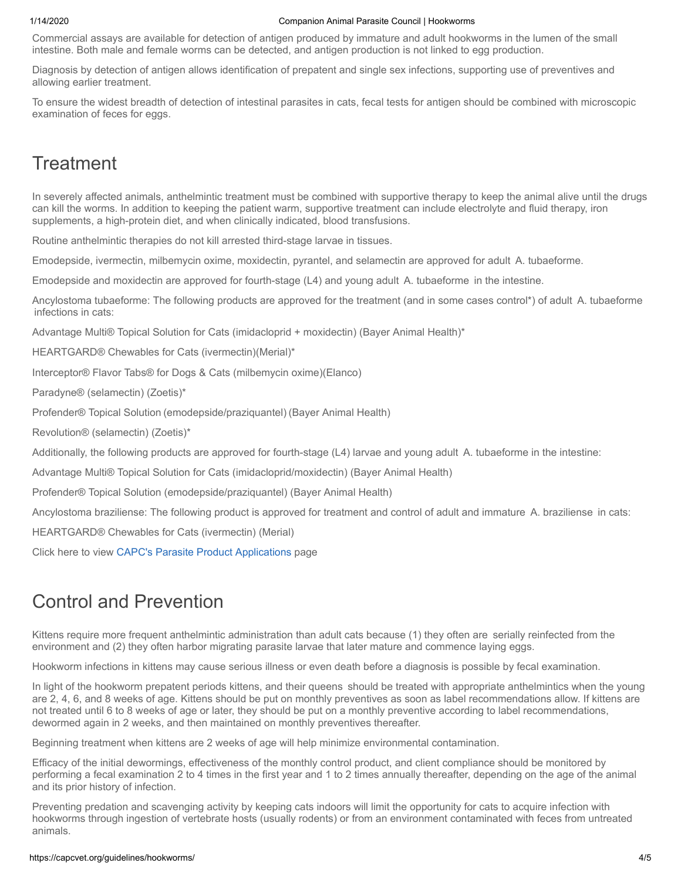### 1/14/2020 Companion Animal Parasite Council | Hookworms

Commercial assays are available for detection of antigen produced by immature and adult hookworms in the lumen of the small intestine. Both male and female worms can be detected, and antigen production is not linked to egg production.

Diagnosis by detection of antigen allows identification of prepatent and single sex infections, supporting use of preventives and allowing earlier treatment.

To ensure the widest breadth of detection of intestinal parasites in cats, fecal tests for antigen should be combined with microscopic examination of feces for eggs.

# **Treatment**

In severely affected animals, anthelmintic treatment must be combined with supportive therapy to keep the animal alive until the drugs can kill the worms. In addition to keeping the patient warm, supportive treatment can include electrolyte and fluid therapy, iron supplements, a high-protein diet, and when clinically indicated, blood transfusions.

Routine anthelmintic therapies do not kill arrested third-stage larvae in tissues.

Emodepside, ivermectin, milbemycin oxime, moxidectin, pyrantel, and selamectin are approved for adult  A. tubaeforme.

Emodepside and moxidectin are approved for fourth-stage (L4) and young adult  A. tubaeforme  in the intestine.

Ancylostoma tubaeforme: The following products are approved for the treatment (and in some cases control\*) of adult  A. tubaeforme  infections in cats:

Advantage Multi® Topical Solution for Cats (imidacloprid + moxidectin) (Bayer Animal Health)\*

HEARTGARD® Chewables for Cats (ivermectin)(Merial)\*

Interceptor® Flavor Tabs® for Dogs & Cats (milbemycin oxime)(Elanco)

Paradyne® (selamectin) (Zoetis)\*

Profender® Topical Solution (emodepside/praziquantel) (Bayer Animal Health)

Revolution® (selamectin) (Zoetis)\*

Additionally, the following products are approved for fourth-stage (L4) larvae and young adult  A. tubaeforme in the intestine:

Advantage Multi® Topical Solution for Cats (imidacloprid/moxidectin) (Bayer Animal Health)

Profender® Topical Solution (emodepside/praziquantel) (Bayer Animal Health)

Ancylostoma braziliense: The following product is approved for treatment and control of adult and immature  A. braziliense  in cats:

HEARTGARD® Chewables for Cats (ivermectin) (Merial)

Click here to view [CAPC's Parasite Product Applications](https://capcvet.org/parasite-product-applications/) page

# Control and Prevention

Kittens require more frequent anthelmintic administration than adult cats because (1) they often are  serially reinfected from the environment and (2) they often harbor migrating parasite larvae that later mature and commence laying eggs.

Hookworm infections in kittens may cause serious illness or even death before a diagnosis is possible by fecal examination.

In light of the hookworm prepatent periods kittens, and their queens  should be treated with appropriate anthelmintics when the young are 2, 4, 6, and 8 weeks of age. Kittens should be put on monthly preventives as soon as label recommendations allow. If kittens are not treated until 6 to 8 weeks of age or later, they should be put on a monthly preventive according to label recommendations, dewormed again in 2 weeks, and then maintained on monthly preventives thereafter.

Beginning treatment when kittens are 2 weeks of age will help minimize environmental contamination.

Efficacy of the initial dewormings, effectiveness of the monthly control product, and client compliance should be monitored by performing a fecal examination 2 to 4 times in the first year and 1 to 2 times annually thereafter, depending on the age of the animal and its prior history of infection.

Preventing predation and scavenging activity by keeping cats indoors will limit the opportunity for cats to acquire infection with hookworms through ingestion of vertebrate hosts (usually rodents) or from an environment contaminated with feces from untreated animals.